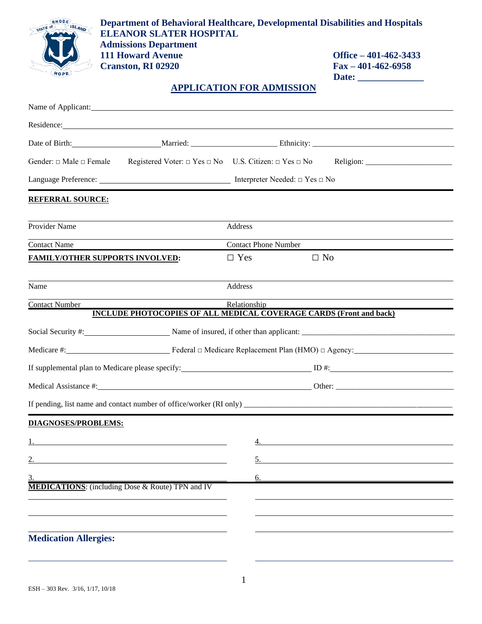| RHODE<br>ISLAND<br>STATE of            | Department of Behavioral Healthcare, Developmental Disabilities and Hospitals<br><b>ELEANOR SLATER HOSPITAL</b><br><b>Admissions Department</b><br><b>111 Howard Avenue</b><br><b>Cranston, RI 02920</b>                                              |                                  | Office $-401-462-3433$<br>$Fax - 401 - 462 - 6958$        |
|----------------------------------------|-------------------------------------------------------------------------------------------------------------------------------------------------------------------------------------------------------------------------------------------------------|----------------------------------|-----------------------------------------------------------|
|                                        |                                                                                                                                                                                                                                                       | <b>APPLICATION FOR ADMISSION</b> |                                                           |
|                                        | Name of Applicant: Name of Applicant:                                                                                                                                                                                                                 |                                  |                                                           |
|                                        |                                                                                                                                                                                                                                                       |                                  |                                                           |
|                                        |                                                                                                                                                                                                                                                       |                                  |                                                           |
|                                        |                                                                                                                                                                                                                                                       |                                  |                                                           |
|                                        | $\text{Language Preference:}\underbrace{\hspace{2.8cm}}_{\text{Image Preference:}}\underbrace{\hspace{2.8cm}}_{\text{Image Preference:}}\underbrace{\hspace{2.8cm}}_{\text{Image Preference:}}\underbrace{\hspace{2.8cm}}_{\text{Image Preference:}}$ |                                  |                                                           |
| <b>REFERRAL SOURCE:</b>                |                                                                                                                                                                                                                                                       |                                  |                                                           |
| Provider Name                          |                                                                                                                                                                                                                                                       | Address                          |                                                           |
| <b>Contact Name</b>                    |                                                                                                                                                                                                                                                       | <b>Contact Phone Number</b>      |                                                           |
| <b>FAMILY/OTHER SUPPORTS INVOLVED:</b> |                                                                                                                                                                                                                                                       | $\Box$ No<br>$\Box$ Yes          |                                                           |
| Name                                   |                                                                                                                                                                                                                                                       | Address                          |                                                           |
| <b>Contact Number</b>                  |                                                                                                                                                                                                                                                       | Relationship                     |                                                           |
|                                        | <b>INCLUDE PHOTOCOPIES OF ALL MEDICAL COVERAGE CARDS (Front and back)</b>                                                                                                                                                                             |                                  |                                                           |
|                                        |                                                                                                                                                                                                                                                       |                                  |                                                           |
|                                        |                                                                                                                                                                                                                                                       |                                  |                                                           |
|                                        | If supplemental plan to Medicare please specify:                                                                                                                                                                                                      | ID#:                             |                                                           |
|                                        |                                                                                                                                                                                                                                                       |                                  |                                                           |
|                                        |                                                                                                                                                                                                                                                       |                                  |                                                           |
| <b>DIAGNOSES/PROBLEMS:</b>             |                                                                                                                                                                                                                                                       |                                  |                                                           |
|                                        |                                                                                                                                                                                                                                                       |                                  | <u> 1989 - Johann Barnett, fransk politiker (d. 1989)</u> |
|                                        |                                                                                                                                                                                                                                                       |                                  |                                                           |
|                                        |                                                                                                                                                                                                                                                       | 6.                               | <u> 1980 - John Stein, Amerikaansk politiker (* 1918)</u> |
|                                        | <b>MEDICATIONS:</b> (including Dose & Route) TPN and IV                                                                                                                                                                                               |                                  |                                                           |
|                                        |                                                                                                                                                                                                                                                       |                                  |                                                           |
|                                        |                                                                                                                                                                                                                                                       |                                  |                                                           |
| <b>Medication Allergies:</b>           |                                                                                                                                                                                                                                                       |                                  |                                                           |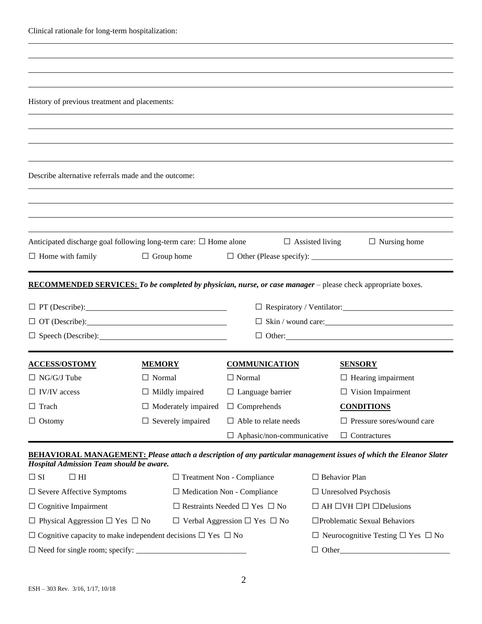| Clinical rationale for long-term hospitalization:                                                                   |                          |                                                                                                 |                                               |                      |                                                                                                                           |
|---------------------------------------------------------------------------------------------------------------------|--------------------------|-------------------------------------------------------------------------------------------------|-----------------------------------------------|----------------------|---------------------------------------------------------------------------------------------------------------------------|
|                                                                                                                     |                          |                                                                                                 |                                               |                      |                                                                                                                           |
|                                                                                                                     |                          |                                                                                                 |                                               |                      |                                                                                                                           |
|                                                                                                                     |                          |                                                                                                 |                                               |                      |                                                                                                                           |
| History of previous treatment and placements:                                                                       |                          |                                                                                                 |                                               |                      |                                                                                                                           |
|                                                                                                                     |                          |                                                                                                 |                                               |                      |                                                                                                                           |
|                                                                                                                     |                          |                                                                                                 |                                               |                      |                                                                                                                           |
|                                                                                                                     |                          |                                                                                                 |                                               |                      |                                                                                                                           |
| Describe alternative referrals made and the outcome:                                                                |                          |                                                                                                 |                                               |                      |                                                                                                                           |
|                                                                                                                     |                          |                                                                                                 |                                               |                      |                                                                                                                           |
|                                                                                                                     |                          |                                                                                                 |                                               |                      |                                                                                                                           |
|                                                                                                                     |                          |                                                                                                 |                                               |                      |                                                                                                                           |
| Anticipated discharge goal following long-term care: $\Box$ Home alone                                              |                          |                                                                                                 |                                               |                      | $\Box$ Assisted living<br>$\Box$ Nursing home                                                                             |
| $\Box$ Home with family                                                                                             | $\Box$ Group home        |                                                                                                 |                                               |                      |                                                                                                                           |
|                                                                                                                     |                          |                                                                                                 |                                               |                      |                                                                                                                           |
| <b>RECOMMENDED SERVICES:</b> To be completed by physician, nurse, or case manager – please check appropriate boxes. |                          |                                                                                                 |                                               |                      |                                                                                                                           |
|                                                                                                                     |                          |                                                                                                 |                                               |                      |                                                                                                                           |
| $\Box$ OT (Describe): $\Box$                                                                                        |                          | $\Box$ Skin / wound care:                                                                       |                                               |                      |                                                                                                                           |
| $\Box$ Speech (Describe):                                                                                           |                          |                                                                                                 |                                               |                      |                                                                                                                           |
|                                                                                                                     |                          |                                                                                                 |                                               |                      |                                                                                                                           |
| <b>ACCESS/OSTOMY</b>                                                                                                | <b>MEMORY</b>            |                                                                                                 | <b>COMMUNICATION</b>                          |                      | <b>SENSORY</b>                                                                                                            |
| $\Box$ NG/G/J Tube                                                                                                  | $\Box$ Normal            |                                                                                                 | $\Box$ Normal                                 |                      | $\Box$ Hearing impairment                                                                                                 |
| $\Box$ IV/IV access<br>$\Box$ Mildly impaired                                                                       |                          |                                                                                                 | $\Box$ Language barrier                       |                      | $\Box$ Vision Impairment                                                                                                  |
| $\Box$ Trach                                                                                                        |                          | $\Box$ Moderately impaired<br>$\Box$ Comprehends                                                |                                               |                      | <b>CONDITIONS</b>                                                                                                         |
| $\Box$ Ostomy                                                                                                       | $\Box$ Severely impaired |                                                                                                 | $\Box$ Able to relate needs                   |                      | $\Box$ Pressure sores/wound care                                                                                          |
|                                                                                                                     |                          |                                                                                                 | $\Box$ Aphasic/non-communicative              |                      | $\Box$ Contractures                                                                                                       |
| <b>Hospital Admission Team should be aware.</b>                                                                     |                          |                                                                                                 |                                               |                      | <b>BEHAVIORAL MANAGEMENT: Please attach a description of any particular management issues of which the Eleanor Slater</b> |
| $\Box$ SI<br>$\Box$ HI                                                                                              |                          | $\Box$ Treatment Non - Compliance                                                               |                                               | $\Box$ Behavior Plan |                                                                                                                           |
| $\Box$ Severe Affective Symptoms                                                                                    |                          |                                                                                                 | $\Box$ Medication Non - Compliance            |                      | $\Box$ Unresolved Psychosis                                                                                               |
| $\Box$ Cognitive Impairment                                                                                         |                          | $\Box$ AH $\Box$ VH $\Box$ PI $\Box$ Delusions<br>$\Box$ Restraints Needed $\Box$ Yes $\Box$ No |                                               |                      |                                                                                                                           |
| $\Box$ Physical Aggression $\Box$ Yes $\Box$ No                                                                     |                          |                                                                                                 | $\Box$ Verbal Aggression $\Box$ Yes $\Box$ No |                      | □Problematic Sexual Behaviors                                                                                             |

□ Cognitive capacity to make independent decisions □ Yes □ No □ Neurocognitive Testing □ Yes □ No

□ Need for single room; specify: \_\_\_\_\_\_\_\_\_\_\_\_\_\_\_\_\_\_\_\_\_\_\_\_\_\_\_\_ □ Other\_\_\_\_\_\_\_\_\_\_\_\_\_\_\_\_\_\_\_\_\_\_\_\_\_\_\_\_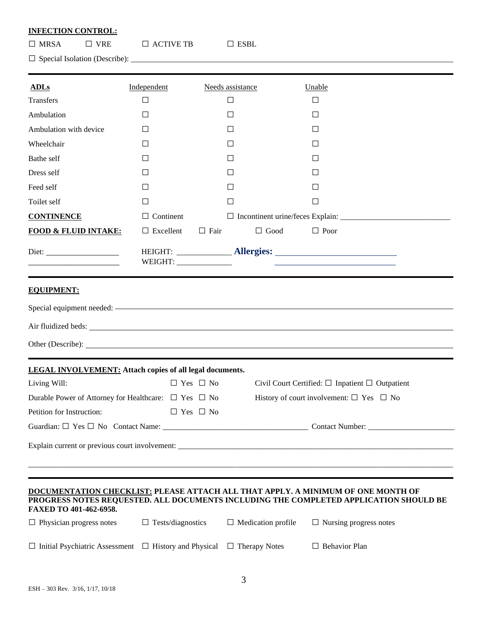# **INFECTION CONTROL:**

| $\Box$ MRSA | $\Box$ vre | $\Box$ ACTIVE TB | $\Box$ ESBL |
|-------------|------------|------------------|-------------|
|             |            |                  |             |

□ Special Isolation (Describe): \_\_\_\_\_\_\_\_\_\_\_\_\_\_\_\_\_\_\_\_\_\_\_\_\_\_\_\_\_\_\_\_\_\_\_\_\_\_\_\_\_\_\_\_\_\_\_\_\_\_\_\_\_\_\_\_\_\_\_\_\_\_\_\_\_\_\_\_\_\_\_\_\_\_\_\_\_\_\_\_\_\_

| <b>ADLs</b>                                                       | Independent                                                                                                          | Needs assistance     |                           | Unable                                                                                                               |  |
|-------------------------------------------------------------------|----------------------------------------------------------------------------------------------------------------------|----------------------|---------------------------|----------------------------------------------------------------------------------------------------------------------|--|
| <b>Transfers</b>                                                  | $\Box$                                                                                                               | $\Box$               |                           | $\Box$                                                                                                               |  |
| Ambulation                                                        | $\Box$                                                                                                               | □                    |                           | □                                                                                                                    |  |
| Ambulation with device                                            | $\Box$                                                                                                               | □                    |                           | □                                                                                                                    |  |
| Wheelchair                                                        | $\Box$                                                                                                               | □                    |                           | $\Box$                                                                                                               |  |
| Bathe self                                                        | Ш                                                                                                                    | Ш                    |                           | $\Box$                                                                                                               |  |
| Dress self                                                        | П                                                                                                                    | $\Box$               |                           | ΙI                                                                                                                   |  |
| Feed self                                                         | Ш                                                                                                                    | Ш                    |                           | $\perp$                                                                                                              |  |
| Toilet self                                                       | $\Box$                                                                                                               | $\Box$               |                           | $\Box$                                                                                                               |  |
| <b>CONTINENCE</b>                                                 | $\Box$ Continent                                                                                                     |                      |                           |                                                                                                                      |  |
| <b>FOOD &amp; FLUID INTAKE:</b>                                   | $\Box$ Excellent                                                                                                     | $\Box$ Fair          | $\Box$ Good               | $\Box$ Poor                                                                                                          |  |
| Diet:                                                             | WEIGHT: ________________                                                                                             |                      |                           | <u> 1989 - Johann Stein, mars an deutscher Stein und der Stein und der Stein und der Stein und der Stein und der</u> |  |
| <b>EQUIPMENT:</b>                                                 |                                                                                                                      |                      |                           |                                                                                                                      |  |
|                                                                   |                                                                                                                      |                      |                           |                                                                                                                      |  |
|                                                                   |                                                                                                                      |                      |                           |                                                                                                                      |  |
|                                                                   |                                                                                                                      |                      |                           |                                                                                                                      |  |
| <b>LEGAL INVOLVEMENT:</b> Attach copies of all legal documents.   |                                                                                                                      |                      |                           |                                                                                                                      |  |
| Living Will:                                                      |                                                                                                                      | $\Box$ Yes $\Box$ No |                           | Civil Court Certified: $\Box$ Inpatient $\Box$ Outpatient                                                            |  |
|                                                                   | History of court involvement: $\Box$ Yes $\Box$ No<br>Durable Power of Attorney for Healthcare: $\Box$ Yes $\Box$ No |                      |                           |                                                                                                                      |  |
| Petition for Instruction:                                         |                                                                                                                      | $\Box$ Yes $\Box$ No |                           |                                                                                                                      |  |
|                                                                   |                                                                                                                      |                      |                           |                                                                                                                      |  |
|                                                                   |                                                                                                                      |                      |                           |                                                                                                                      |  |
|                                                                   |                                                                                                                      |                      |                           | DOCUMENTATION CHECKLIST: PLEASE ATTACH ALL THAT APPLY. A MINIMUM OF ONE MONTH OF                                     |  |
| FAXED TO 401-462-6958.                                            |                                                                                                                      |                      |                           | PROGRESS NOTES REQUESTED. ALL DOCUMENTS INCLUDING THE COMPLETED APPLICATION SHOULD BE                                |  |
| $\Box$ Physician progress notes                                   | $\Box$ Tests/diagnostics                                                                                             |                      | $\Box$ Medication profile | $\Box$ Nursing progress notes                                                                                        |  |
| $\Box$ Initial Psychiatric Assessment $\Box$ History and Physical |                                                                                                                      |                      | $\Box$ Therapy Notes      | $\Box$ Behavior Plan                                                                                                 |  |